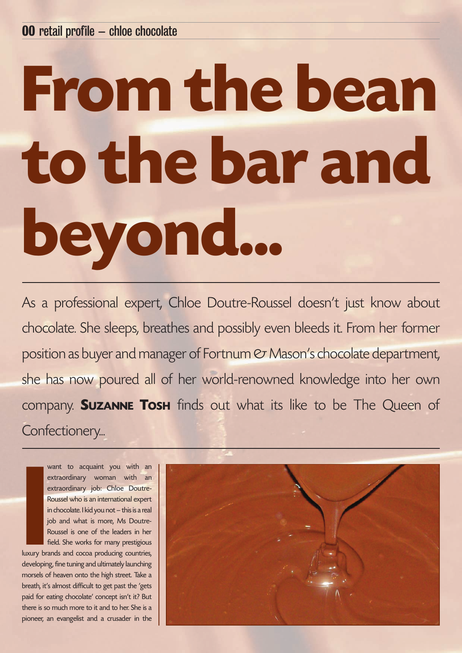## **From the bean to the bar and beyond...**

As a professional expert, Chloe Doutre-Roussel doesn't just know about chocolate. She sleeps, breathes and possibly even bleeds it. From her former position as buyer and manager of Fortnum  $\mathfrak{S}$  Mason's chocolate department, she has now poured all of her world-renowned knowledge into her own company. **SUZANNE TOSH** finds out what its like to be The Queen of Confectionery...

**I** want to acquaint you with an extraordinary woman with an extraordinary job: Chloe Doutre-Roussel who is an international expert in chocolate. I kid you not – this is a real job and what is more, Ms Doutre-Roussel is one of the leaders in her field. She works for many prestigious

luxury brands and cocoa producing countries, developing, fine tuning and ultimately launching morsels of heaven onto the high street. Take a breath, it's almost difficult to get past the 'gets paid for eating chocolate' concept isn't it? But there is so much more to it and to her. She is a pioneer, an evangelist and a crusader in the

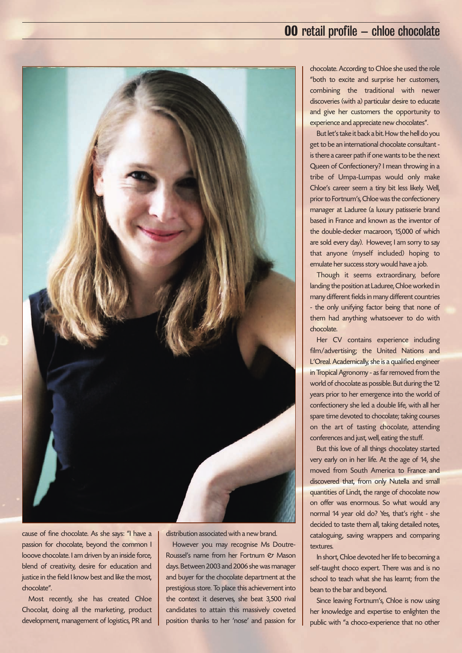## **00** retail profile **–** chloe chocolate



cause of fine chocolate. As she says: "I have a passion for chocolate, beyond the common I looove chocolate. I am driven by an inside force, blend of creativity, desire for education and justice in the field I know best and like the most, chocolate".

Most recently, she has created Chloe Chocolat, doing all the marketing, product development, management of logistics, PR and distribution associated with a new brand.

However you may recognise Ms Doutre-Roussel's name from her Fortnum & Mason days. Between 2003 and 2006 she was manager and buyer for the chocolate department at the prestigious store. To place this achievement into the context it deserves, she beat 3,500 rival candidates to attain this massively coveted position thanks to her 'nose' and passion for

chocolate. According to Chloe she used the role "both to excite and surprise her customers, combining the traditional with newer discoveries (with a) particular desire to educate and give her customers the opportunity to experience and appreciate new chocolates".

But let's take it back a bit. How the hell do you get to be an international chocolate consultant is there a career path if one wants to be the next Queen of Confectionery? I mean throwing in a tribe of Umpa-Lumpas would only make Chloe's career seem a tiny bit less likely. Well, prior to Fortnum's, Chloe was the confectionery manager at Laduree (a luxury patisserie brand based in France and known as the inventor of the double-decker macaroon, 15,000 of which are sold every day). However, I am sorry to say that anyone (myself included) hoping to emulate her success story would have a job.

Though it seems extraordinary, before landing the position at Laduree, Chloe worked in many different fields in many different countries - the only unifying factor being that none of them had anything whatsoever to do with chocolate.

Her CV contains experience including film/advertising; the United Nations and L'Oreal. Academically, she is a qualified engineer in Tropical Agronomy - as far removed from the world of chocolate as possible. But during the 12 years prior to her emergence into the world of confectionery she led a double life, with all her spare time devoted to chocolate; taking courses on the art of tasting chocolate, attending conferences and just, well, eating the stuff.

But this love of all things chocolatey started very early on in her life. At the age of 14, she moved from South America to France and discovered that, from only Nutella and small quantities of Lindt, the range of chocolate now on offer was enormous. So what would any normal 14 year old do? Yes, that's right - she decided to taste them all, taking detailed notes, cataloguing, saving wrappers and comparing textures.

In short, Chloe devoted her life to becoming a self-taught choco expert. There was and is no school to teach what she has learnt; from the bean to the bar and beyond.

Since leaving Fortnum's, Chloe is now using her knowledge and expertise to enlighten the public with "a choco-experience that no other